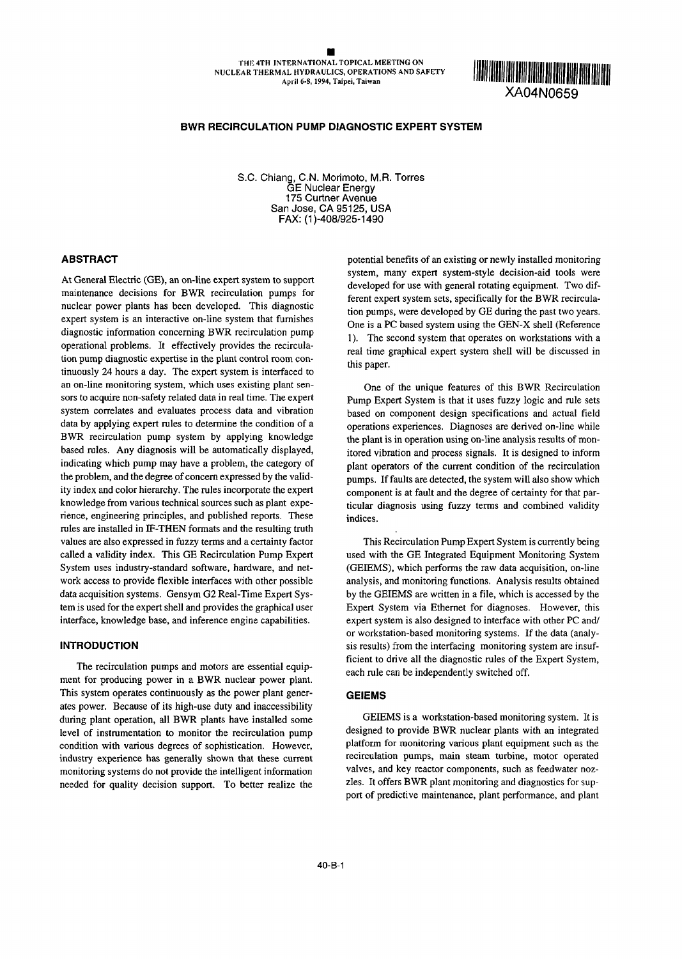XA04NO659

# **BWR RECIRCULATION PUMP DIAGNOSTIC EXPERT SYSTEM**

S.C. Chiang, C.N. Morimoto, M.R. Torres GE Nuclear Energy 175 Curtner Avenue San Jose, CA 95125, USA FAX: (l)-408/925-1490

maintenance decisions for BWR recirculation pumps for developed for use with general rotating equipment. Two difnuclear power plants has been developed. This diagnostic ferent expert system sets, specifically for the BWR recirculadiagnostic information concerning BWR recirculation pump  $\begin{array}{c} \text{One to the case of given number} \\ \text{One second system that operates on workstations with a} \end{array}$ operational problems. It effectively provides the recircula-<br>real time graphical expert system shell will be discussed in tion pump diagnostic expertise in the plant control room con-<br>this paper. tinuously 24 hours a day. The expert system is interfaced to an on-line monitoring system, which uses existing plant sen- One of the unique features of this BWR Recirculation sors to acquire non-safety related data in real time. The expert Pump Expert System is that it uses fuzzy logic and rule sets system correlates and evaluates process data and vibration based on component design specifications and actual field data by applying expert rules to determine the condition of a operations experiences. Diagnoses are derived on-line while BWR recirculation pump system by applying knowledge the plant is in operation using on-line analysis results of monbased rules. Any diagnosis will be automatically displayed, itored vibration and process signals. It is designed to inform indicating which pump may have a problem, the category of plant operators of the current condition of the recirculation the problem, and the degree of concern expressed by the valid-<br>pumps. If faults are detected, the system will also show which ity index and color hierarchy. The rules incorporate the expert component is at fault and the degree of certainty for that parknowledge from various technical sources such as plant expe-<br>ticular diagnosis using fuzzy terms and combined validity rience, engineering principles, and published reports. These indices. rules are installed in IF-THEN formats and the resulting truth values are also expressed in fuzzy terms and a certainty factor This Recirculation Pump Expert System is currently being called a validity index. This GE Recirculation Pump Expert used with the GE Integrated Equipment Monitoring System System uses industry-standard software, hardware, and net- (GEEEMS), which performs the raw data acquisition, on-line work access to provide flexible interfaces with other possible analysis, and monitoring functions. Analysis results obtained data acquisition systems. Gensym G2 Real-Time Expert Sys- by the GEIEMS are written in a file, which is accessed by the tem is used for the expert shell and provides the graphical user Expert System via Ethernet for diagnoses. However, this interface, knowledge base, and inference engine capabilities. expert system is also designed to interface with other PC and/

ment for producing power in a BWR nuclear power plant. This system operates continuously as the power plant gener- **GEIEMS** ates power. Because of its high-use duty and inaccessibility during plant operation, all *BWR* plants have installed some GEIEMS is a workstation-based monitoring system. It is level of instrumentation to monitor the recirculation pump designed to provide BWR nuclear plants with an integrated condition with various degrees of sophistication. However, platform for monitoring various plant equipment such as the industry experience has generally shown that these current recirculation pumps, main steam turbine, motor operated monitoring systems do not provide the intelligent information valves, and key reactor components, such as feedwater nozneeded for quality decision support. To better realize the zles. It offers BWR plant monitoring and diagnostics for sup-

**ABSTRACT potential benefits of an existing or newly installed monitoring** At General Electric (GE), an on-line expert system to support system, many expert system-style decision-aid tools were developed for use with general rotating equipment. Two difexpert system is an interactive on-line system that furnishes One is a PC based system using the GEN-X shell (Reference

or workstation-based monitoring systems. If the data (analy-**INTRODUCTION Sis results** from the interfacing monitoring system are insuf-The recirculation pumps and motors are essential equip-<br>
each rule can be independently switched off.<br>
The can be independently switched off.

port of predictive maintenance, plant performance, and plant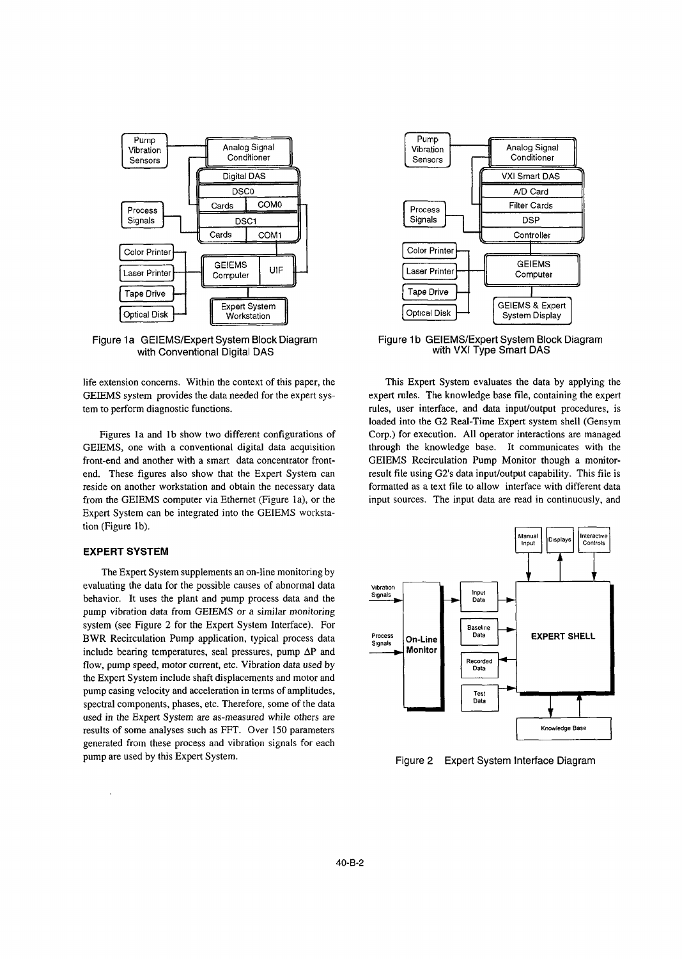

with Conventional Digital DAS

GEIEMS system provides the data needed for the expert sys- expert rules. The knowledge base file, containing the expert tem to perform diagnostic functions. The rules, user interface, and data input/output procedures, is

GEIEMS, one with a conventional digital data acquisition through the knowledge base. **It** communicates with the front-end and another with a smart data concentrator front- GEIEMS Recirculation Pump Monitor though a monitorend. These figures also show that the Expert System can result file using G2's data input/output capability. This file is reside on another workstation and obtain the necessary data formatted as a text **file** to allow interface with different data from the GEIEMS computer via Ethernet (Figure la), or the input sources. The input data are read in continuously, and Expert System can be integrated into the GEIEMS workstation (Figure lb).

# **EXPERT SYSTEM**

The Expert System supplements an on-line monitoring by evaluating the data for the possible causes of abnormal data vibration **Input behavior.** It uses the plant and pump process data and the **Signals** pump vibration data from GEIEMS or a similar *monitoring* system (see Figure 2 for the Expert System Interface). For BWR Recirculation Pump application, typical process data **Process** On-Line **Data Process On-Line EXPERT SHELL** include bearing temperatures, seal pressures, pump  $\Delta P$  and **Signals 10 Monitor Recorded Recorded Recorded Recorded Recorded Recorded Recorded Recorded Recorded P Data** the Expert System include shaft displacements and motor and pump casing velocity and acceleration in terms of amplitudes, spectral components, phases, etc. Therefore, some of the data used in the Expert System are as-measured while others are results of some analyses such as FFT. Over 150 parameters **Analysis and Analyse Base** -711 **Knowledge Base** generated from these process and vibration signals for each pump are used by this Expert System. Figure 2 Expert System Interface Diagram



Figure 1a GEIEMS/Expert System Block Diagram Figure 1b GEIEMS/Expert System Block Diagram<br>with Conventional Digital DAS with VXI Type Smart DAS

life extension concerns. Within the context of this paper, the This Expert System evaluates the data by applying the loaded into the G2 Real-Time Expert system shell (Gensyrn Figures la and lb show two different configurations of Corp.) for execution. All operator interactions are managed

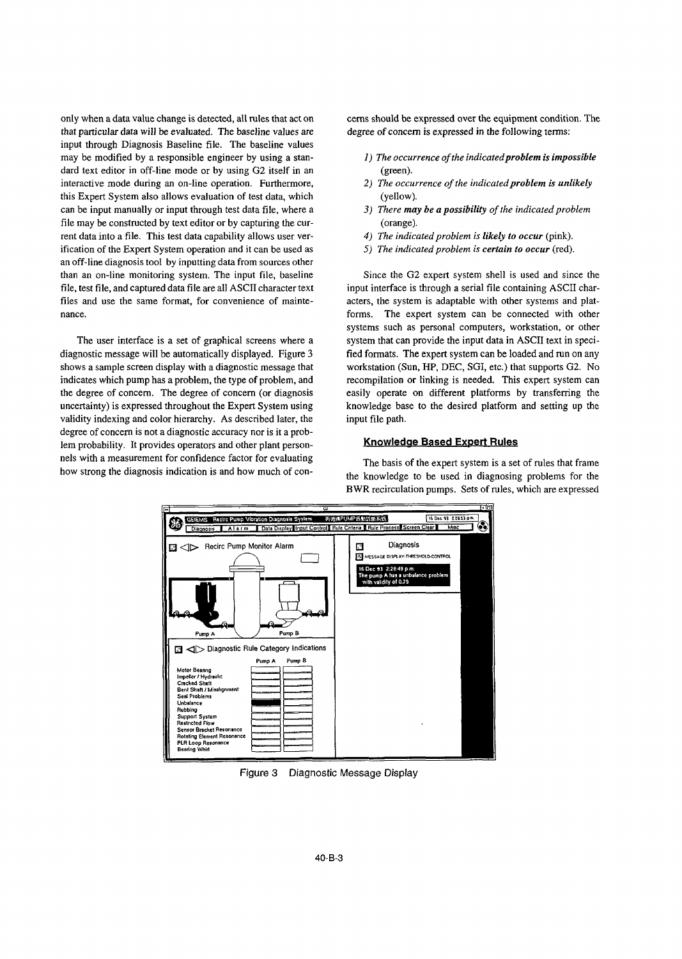that particular data will be evaluated. The baseline values are degree of concem is expressed in the following terms: input through Diagnosis Baseline file. The baseline values may be modified by a responsible engineer by using a stan- *1) The occurrence of the indicatedproblem is impossible* dard text editor in off-line mode or by using G2 itself in an (green). interactive mode during an on-line operation. Furthermore, *2) The occurrence of the indicatedproblem is unlikely* this Expert System also allows evaluation of test data, which (yellow). can be input manually or input through test data file, where a *3) There may be a possibility of the indicated problem* file may be constructed by text editor or by capturing the cur- (orange). rent data into a file. This test data capability allows user ver- *4) The indicated problem is likely to occur* (pink). ification of the Expert System operation and it can be used as *5) The indicated problem is certain to occur (red).* an off-line diagnosis tool by inputting data from sources other than an on-line monitoring system. The input file, baseline Since the G2 expert system shell is used and since the file, test file, and captured data file are all ASCII character text input interface is through a serial file containing ASCII charfiles and use the same format, for convenience of mainte- acters, the system is adaptable with other systems and platnance. **Forms.** The expert system can be connected with other

validity indexing and color hierarchy. As described later, the input file path. degree of concern is not a diagnostic accuracy nor is it a problem probability. It provides operators and other plant person- **Knowledae Based Expert Rules** nels with a measurement for confidence factor for evaluating The basis of the expert system is a set of rules that frame

only when a data value change is detected, all rules that act on cerns should be expressed over the equipment condition. The

- 
- 
- 
- 
- 

systems such as personal computers, workstation, or other The user interface is a set of graphical screens where a system that can provide the input data in ASCII text in specidiagnostic message will be automatically displayed. Figure 3 fied formats. The expert system can be loaded and run on any shows a sample screen display with a diagnostic message that workstation (Sun, HP, DEC, SGI, etc.) that supports G2. No indicates which pump has a problem, the type of problem, and recompilation or linking is needed. This expert system can the degree of concern. The degree of concern (or diagnosis easily operate on different platforms by transferring the uncertainty) is expressed throughout the Expert System using knowledge base to the desired platform and setting up the

how strong the diagnosis indication is and how much of con-<br>the knowledge to be used in diagnosing problems for the BWR recirculation pumps. Sets of rules, which are expressed



Figure 3 Diagnostic Message Display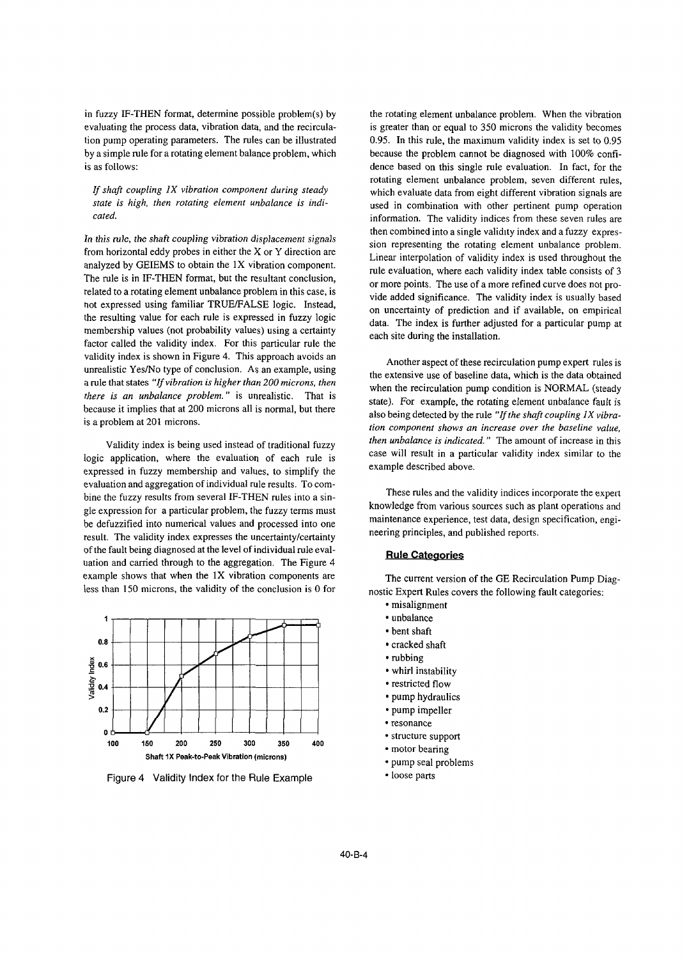in fuzzy IF-THEN format, determine possible problem(s) by the rotating element unbalance problem. When the vibration tion pump operating parameters. The rules can be illustrated 0.95. In this rule, the maximum validity index is set to 0.95 by a simple rule for a rotating element balance problem, which because the problem cannot be diagnosed with 100% confi-

analyzed by GEIEMS to obtain the  $1X$  vibration component. The evaluation, where each validity index table consists of 3 The rule is in IF-THEN format, but the resultant conclusion, or more points. The use of a more refined curve does not prorelated to a rotating element unbalance problem in this case, is vide added significance. The validity index is usually based not expressed using familiar TRUE/FALSE logic. Instead, on uncertainty of prediction and if available, on empirical the resulting value for each rule is expressed in fuzzy logic data. The index is further adjusted for a particular pump at membership values (not probability values) using a certainty each site during the installation. factor called the validity index. For this particular rule the validity index is shown in Figure 4. This approach avoids an Another aspect of these recirculation pump expert rules is unrealistic Yes/No type of conclusion. As an example, using the extensive use of baseline data, which is the data obtained a rule that states *"If vibration is higher than 200 microns, then* when the recirculation pump condition is NORMAL (steady when the recirculation pump condition pump condition pump condition is NORMAL (steady) *there is an unbalance problem.* Is unrealistic. That is state). For example, the rotating element unbalance fault is because it implies that at 200 microns all is normal, but there also being detected by the male "If the because it implies that at 200 microns all is normal, but there also being detected by the rule *"If the shaft coupling IX vibra*-<br> *Also being detected by the rule "If the shaft coupling IX vibra-*<br> *Also being detected b* 

logic application, where the evaluation of each rule is case will result in a particular value of each rule is example described above. expressed in fuzzy membership and values, to simplify the evaluation and aggregation of individual rule results. To com-<br>hine the fugue goults from coveral IF THEM wilso into a sin These rules and the validity indices incorporate the expert bine the fuzzy results from several IF-THEN rules into a sin-<br>gle expression for a particular problem, the fuzzy terms must<br>knowledge from various sources such as plant operations and<br>and the various sources such as plant be defuzzified into numerical values and processed into one maintenance experience, test data, design<br>result. The validity index expresses the uncertainty/certainty result, The validity index expresses the uncertainty/certainty of the fault being diagnosed at the level of individual rule eval- **Rule Cateaories** uation and carried through to the aggregation. The Figure 4 example shows that when the 1X vibration components are The current version of the GE Recirculation Pump Diag-



Figure 4 Validity Index for the Rule Example **Consequent** • loose parts

evaluating the process data, vibration data, and the recircula- is greater than or equal to 350 microns the validity becomes is as follows: dence based on this single rule evaluation. In fact, for the rotating element unbalance problem, seven different rules, *If shaft coupling 1X vibration component during steady* which evaluate data from eight different vibration signals are *state is high, then rotating element unbalance is indi*-<br>used in combination with other nertinent num used in combination with other pertinent pump operation *cated.* information. The validity indices from these seven rules are *In this rule, the shaft coupling vibration displacement signals* then combined into a single validity index and a fuzzy expres-<br>**Form** herizontal addy problem. from horizontal eddy probes in either the X or Y direction are sion representing the rotating element unbalance problem.

tion component shows an increase over the baseline value, Validity index is being used instead of traditional fuzzy *then unbalance is indicated.*" The amount of increase in this<br>case will result in a particular validity index similar to the<br>case will result in a particular valid

maintenance experience, test data, design specification, engi-

less than 150 microns, the validity of the conclusion is  $0$  for nostic Expert Rules covers the following fault categories:

- misalignment
- 
- bent shaft
- 
- 
- 
- $\cdot$  restricted flow
- pump hydraulics
- 
- resonance
- 
- 
- pump seal problems
-